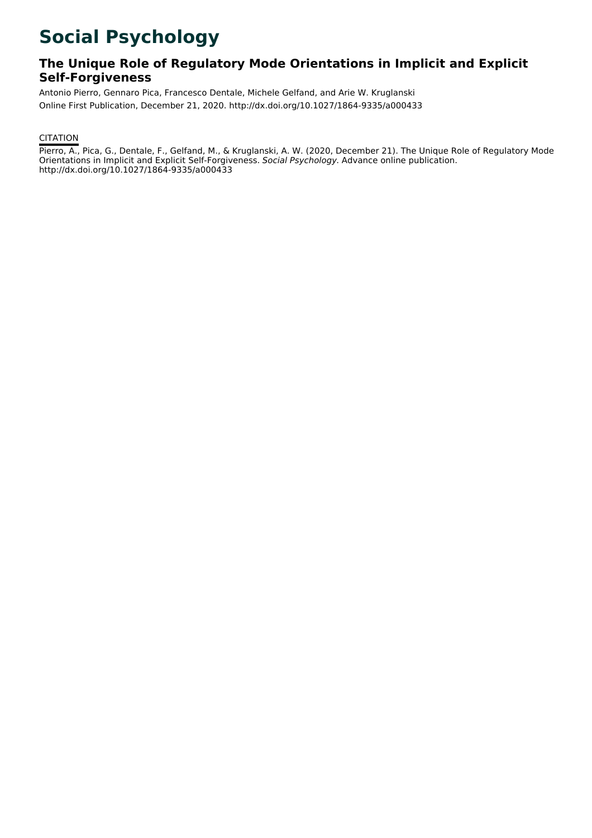## **Social Psychology**

## **The Unique Role of Regulatory Mode Orientations in Implicit and Explicit Self-Forgiveness**

Antonio Pierro, Gennaro Pica, Francesco Dentale, Michele Gelfand, and Arie W. Kruglanski Online First Publication, December 21, 2020. http://dx.doi.org/10.1027/1864-9335/a000433

## **CITATION**

Pierro, A., Pica, G., Dentale, F., Gelfand, M., & Kruglanski, A. W. (2020, December 21). The Unique Role of Regulatory Mode Orientations in Implicit and Explicit Self-Forgiveness. Social Psychology. Advance online publication. http://dx.doi.org/10.1027/1864-9335/a000433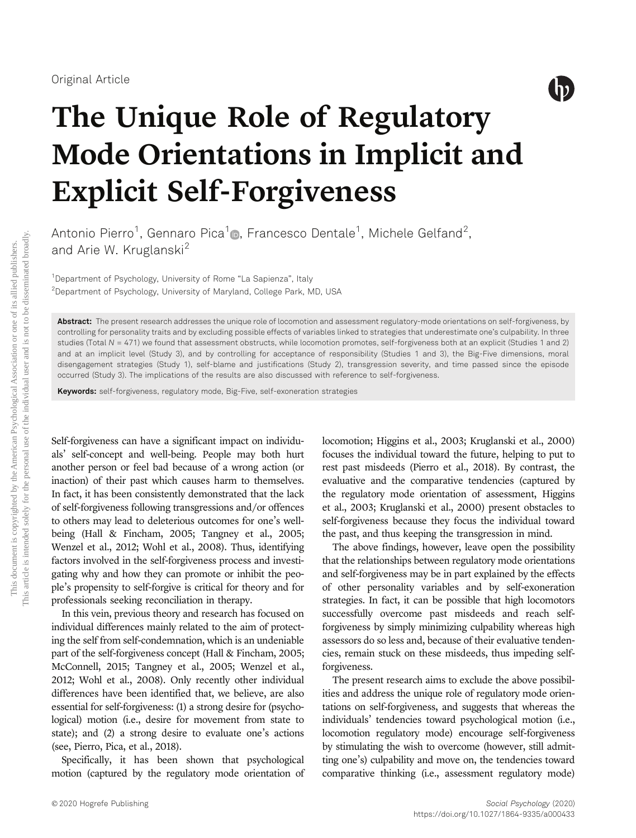

# The Unique Role of Regulatory Mode Orientations in Implicit and Explicit Self-Forgiveness

Antonio Pierro $^1$ , Gennaro Pica $^1$ **o**, Francesco Dentale $^1$ , Michele Gelfand $^2$ , and Arie W. Kruglanski<sup>2</sup>

<sup>1</sup>Department of Psychology, University of Rome "La Sapienza", Italy <sup>2</sup>Department of Psychology, University of Maryland, College Park, MD, USA

Abstract: The present research addresses the unique role of locomotion and assessment regulatory-mode orientations on self-forgiveness, by controlling for personality traits and by excluding possible effects of variables linked to strategies that underestimate one's culpability. In three studies (Total N = 471) we found that assessment obstructs, while locomotion promotes, self-forgiveness both at an explicit (Studies 1 and 2) and at an implicit level (Study 3), and by controlling for acceptance of responsibility (Studies 1 and 3), the Big-Five dimensions, moral disengagement strategies (Study 1), self-blame and justifications (Study 2), transgression severity, and time passed since the episode occurred (Study 3). The implications of the results are also discussed with reference to self-forgiveness.

Keywords: self-forgiveness, regulatory mode, Big-Five, self-exoneration strategies

Self-forgiveness can have a significant impact on individuals' self-concept and well-being. People may both hurt another person or feel bad because of a wrong action (or inaction) of their past which causes harm to themselves. In fact, it has been consistently demonstrated that the lack of self-forgiveness following transgressions and/or offences to others may lead to deleterious outcomes for one's wellbeing (Hall & Fincham, 2005; Tangney et al., 2005; Wenzel et al., 2012; Wohl et al., 2008). Thus, identifying factors involved in the self-forgiveness process and investigating why and how they can promote or inhibit the people's propensity to self-forgive is critical for theory and for professionals seeking reconciliation in therapy.

In this vein, previous theory and research has focused on individual differences mainly related to the aim of protecting the self from self-condemnation, which is an undeniable part of the self-forgiveness concept (Hall & Fincham, 2005; McConnell, 2015; Tangney et al., 2005; Wenzel et al., 2012; Wohl et al., 2008). Only recently other individual differences have been identified that, we believe, are also essential for self-forgiveness: (1) a strong desire for (psychological) motion (i.e., desire for movement from state to state); and (2) a strong desire to evaluate one's actions (see, Pierro, Pica, et al., 2018).

Specifically, it has been shown that psychological motion (captured by the regulatory mode orientation of

locomotion; Higgins et al., 2003; Kruglanski et al., 2000) focuses the individual toward the future, helping to put to rest past misdeeds (Pierro et al., 2018). By contrast, the evaluative and the comparative tendencies (captured by the regulatory mode orientation of assessment, Higgins et al., 2003; Kruglanski et al., 2000) present obstacles to self-forgiveness because they focus the individual toward the past, and thus keeping the transgression in mind.

The above findings, however, leave open the possibility that the relationships between regulatory mode orientations and self-forgiveness may be in part explained by the effects of other personality variables and by self-exoneration strategies. In fact, it can be possible that high locomotors successfully overcome past misdeeds and reach selfforgiveness by simply minimizing culpability whereas high assessors do so less and, because of their evaluative tendencies, remain stuck on these misdeeds, thus impeding selfforgiveness.

The present research aims to exclude the above possibilities and address the unique role of regulatory mode orientations on self-forgiveness, and suggests that whereas the individuals' tendencies toward psychological motion (i.e., locomotion regulatory mode) encourage self-forgiveness by stimulating the wish to overcome (however, still admitting one's) culpability and move on, the tendencies toward comparative thinking (i.e., assessment regulatory mode)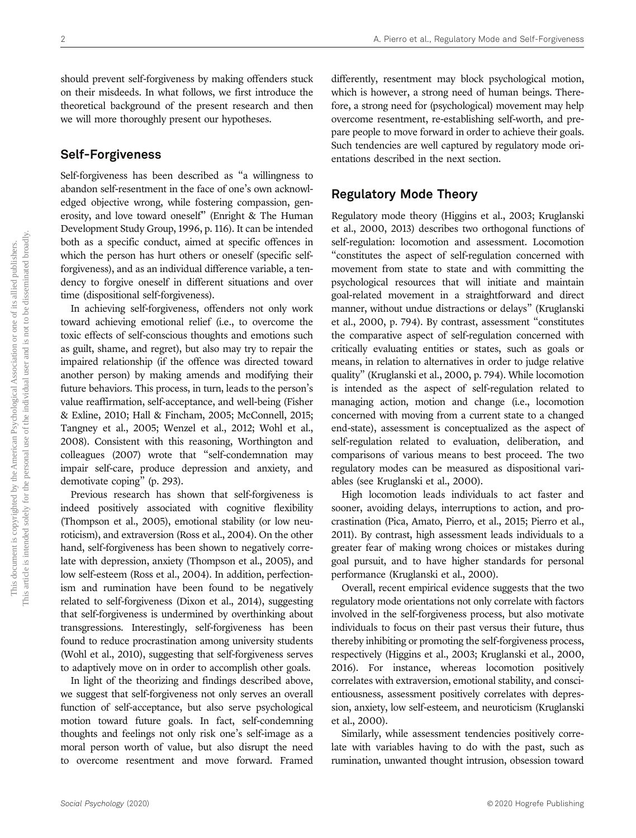should prevent self-forgiveness by making offenders stuck on their misdeeds. In what follows, we first introduce the theoretical background of the present research and then we will more thoroughly present our hypotheses.

## Self-Forgiveness

Self-forgiveness has been described as "a willingness to abandon self-resentment in the face of one's own acknowledged objective wrong, while fostering compassion, generosity, and love toward oneself" (Enright & The Human Development Study Group, 1996, p. 116). It can be intended both as a specific conduct, aimed at specific offences in which the person has hurt others or oneself (specific selfforgiveness), and as an individual difference variable, a tendency to forgive oneself in different situations and over time (dispositional self-forgiveness).

In achieving self-forgiveness, offenders not only work toward achieving emotional relief (i.e., to overcome the toxic effects of self-conscious thoughts and emotions such as guilt, shame, and regret), but also may try to repair the impaired relationship (if the offence was directed toward another person) by making amends and modifying their future behaviors. This process, in turn, leads to the person's value reaffirmation, self-acceptance, and well-being (Fisher & Exline, 2010; Hall & Fincham, 2005; McConnell, 2015; Tangney et al., 2005; Wenzel et al., 2012; Wohl et al., 2008). Consistent with this reasoning, Worthington and colleagues (2007) wrote that "self-condemnation may impair self-care, produce depression and anxiety, and demotivate coping" (p. 293).

Previous research has shown that self-forgiveness is indeed positively associated with cognitive flexibility (Thompson et al., 2005), emotional stability (or low neuroticism), and extraversion (Ross et al., 2004). On the other hand, self-forgiveness has been shown to negatively correlate with depression, anxiety (Thompson et al., 2005), and low self-esteem (Ross et al., 2004). In addition, perfectionism and rumination have been found to be negatively related to self-forgiveness (Dixon et al., 2014), suggesting that self-forgiveness is undermined by overthinking about transgressions. Interestingly, self-forgiveness has been found to reduce procrastination among university students (Wohl et al., 2010), suggesting that self-forgiveness serves to adaptively move on in order to accomplish other goals.

In light of the theorizing and findings described above, we suggest that self-forgiveness not only serves an overall function of self-acceptance, but also serve psychological motion toward future goals. In fact, self-condemning thoughts and feelings not only risk one's self-image as a moral person worth of value, but also disrupt the need to overcome resentment and move forward. Framed differently, resentment may block psychological motion, which is however, a strong need of human beings. Therefore, a strong need for (psychological) movement may help overcome resentment, re-establishing self-worth, and prepare people to move forward in order to achieve their goals. Such tendencies are well captured by regulatory mode orientations described in the next section.

## Regulatory Mode Theory

Regulatory mode theory (Higgins et al., 2003; Kruglanski et al., 2000, 2013) describes two orthogonal functions of self-regulation: locomotion and assessment. Locomotion "constitutes the aspect of self-regulation concerned with movement from state to state and with committing the psychological resources that will initiate and maintain goal-related movement in a straightforward and direct manner, without undue distractions or delays" (Kruglanski et al., 2000, p. 794). By contrast, assessment "constitutes the comparative aspect of self-regulation concerned with critically evaluating entities or states, such as goals or means, in relation to alternatives in order to judge relative quality" (Kruglanski et al., 2000, p. 794). While locomotion is intended as the aspect of self-regulation related to managing action, motion and change (i.e., locomotion concerned with moving from a current state to a changed end-state), assessment is conceptualized as the aspect of self-regulation related to evaluation, deliberation, and comparisons of various means to best proceed. The two regulatory modes can be measured as dispositional variables (see Kruglanski et al., 2000).

High locomotion leads individuals to act faster and sooner, avoiding delays, interruptions to action, and procrastination (Pica, Amato, Pierro, et al., 2015; Pierro et al., 2011). By contrast, high assessment leads individuals to a greater fear of making wrong choices or mistakes during goal pursuit, and to have higher standards for personal performance (Kruglanski et al., 2000).

Overall, recent empirical evidence suggests that the two regulatory mode orientations not only correlate with factors involved in the self-forgiveness process, but also motivate individuals to focus on their past versus their future, thus thereby inhibiting or promoting the self-forgiveness process, respectively (Higgins et al., 2003; Kruglanski et al., 2000, 2016). For instance, whereas locomotion positively correlates with extraversion, emotional stability, and conscientiousness, assessment positively correlates with depression, anxiety, low self-esteem, and neuroticism (Kruglanski et al., 2000).

Similarly, while assessment tendencies positively correlate with variables having to do with the past, such as rumination, unwanted thought intrusion, obsession toward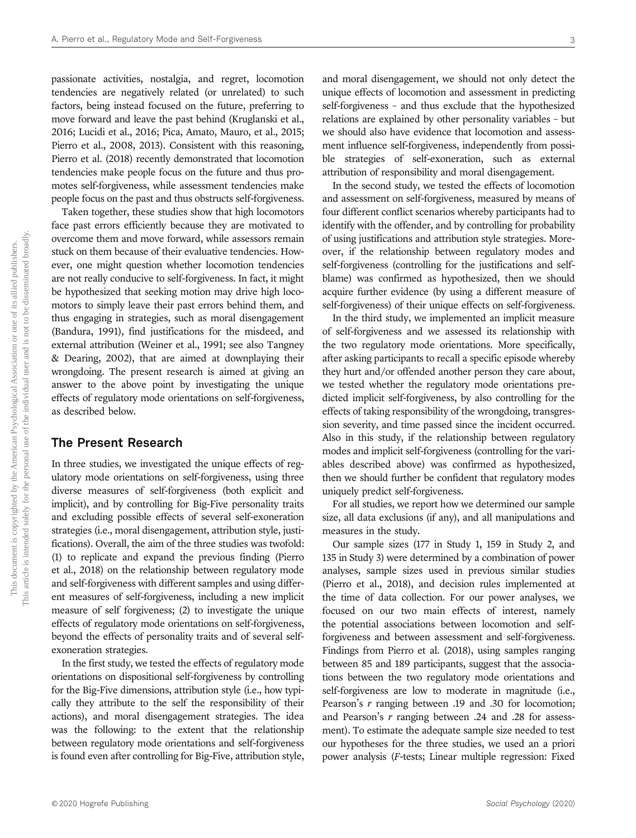passionate activities, nostalgia, and regret, locomotion tendencies are negatively related (or unrelated) to such factors, being instead focused on the future, preferring to move forward and leave the past behind (Kruglanski et al., 2016; Lucidi et al., 2016; Pica, Amato, Mauro, et al., 2015; Pierro et al., 2008, 2013). Consistent with this reasoning, Pierro et al. (2018) recently demonstrated that locomotion tendencies make people focus on the future and thus promotes self-forgiveness, while assessment tendencies make people focus on the past and thus obstructs self-forgiveness.

Taken together, these studies show that high locomotors face past errors efficiently because they are motivated to overcome them and move forward, while assessors remain stuck on them because of their evaluative tendencies. However, one might question whether locomotion tendencies are not really conducive to self-forgiveness. In fact, it might be hypothesized that seeking motion may drive high locomotors to simply leave their past errors behind them, and thus engaging in strategies, such as moral disengagement (Bandura, 1991), find justifications for the misdeed, and external attribution (Weiner et al., 1991; see also Tangney & Dearing, 2002), that are aimed at downplaying their wrongdoing. The present research is aimed at giving an answer to the above point by investigating the unique effects of regulatory mode orientations on self-forgiveness, as described below.

## The Present Research

In three studies, we investigated the unique effects of regulatory mode orientations on self-forgiveness, using three diverse measures of self-forgiveness (both explicit and implicit), and by controlling for Big-Five personality traits and excluding possible effects of several self-exoneration strategies (i.e., moral disengagement, attribution style, justifications). Overall, the aim of the three studies was twofold: (1) to replicate and expand the previous finding (Pierro et al., 2018) on the relationship between regulatory mode and self-forgiveness with different samples and using different measures of self-forgiveness, including a new implicit measure of self forgiveness; (2) to investigate the unique effects of regulatory mode orientations on self-forgiveness, beyond the effects of personality traits and of several selfexoneration strategies.

In the first study, we tested the effects of regulatory mode orientations on dispositional self-forgiveness by controlling for the Big-Five dimensions, attribution style (i.e., how typically they attribute to the self the responsibility of their actions), and moral disengagement strategies. The idea was the following: to the extent that the relationship between regulatory mode orientations and self-forgiveness is found even after controlling for Big-Five, attribution style,

and moral disengagement, we should not only detect the unique effects of locomotion and assessment in predicting self-forgiveness – and thus exclude that the hypothesized relations are explained by other personality variables – but we should also have evidence that locomotion and assessment influence self-forgiveness, independently from possible strategies of self-exoneration, such as external attribution of responsibility and moral disengagement.

In the second study, we tested the effects of locomotion and assessment on self-forgiveness, measured by means of four different conflict scenarios whereby participants had to identify with the offender, and by controlling for probability of using justifications and attribution style strategies. Moreover, if the relationship between regulatory modes and self-forgiveness (controlling for the justifications and selfblame) was confirmed as hypothesized, then we should acquire further evidence (by using a different measure of self-forgiveness) of their unique effects on self-forgiveness.

In the third study, we implemented an implicit measure of self-forgiveness and we assessed its relationship with the two regulatory mode orientations. More specifically, after asking participants to recall a specific episode whereby they hurt and/or offended another person they care about, we tested whether the regulatory mode orientations predicted implicit self-forgiveness, by also controlling for the effects of taking responsibility of the wrongdoing, transgression severity, and time passed since the incident occurred. Also in this study, if the relationship between regulatory modes and implicit self-forgiveness (controlling for the variables described above) was confirmed as hypothesized, then we should further be confident that regulatory modes uniquely predict self-forgiveness.

For all studies, we report how we determined our sample size, all data exclusions (if any), and all manipulations and measures in the study.

Our sample sizes (177 in Study 1, 159 in Study 2, and 135 in Study 3) were determined by a combination of power analyses, sample sizes used in previous similar studies (Pierro et al., 2018), and decision rules implemented at the time of data collection. For our power analyses, we focused on our two main effects of interest, namely the potential associations between locomotion and selfforgiveness and between assessment and self-forgiveness. Findings from Pierro et al. (2018), using samples ranging between 85 and 189 participants, suggest that the associations between the two regulatory mode orientations and self-forgiveness are low to moderate in magnitude (i.e., Pearson's *r* ranging between .19 and .30 for locomotion; and Pearson's r ranging between .24 and .28 for assessment). To estimate the adequate sample size needed to test our hypotheses for the three studies, we used an a priori power analysis (F-tests; Linear multiple regression: Fixed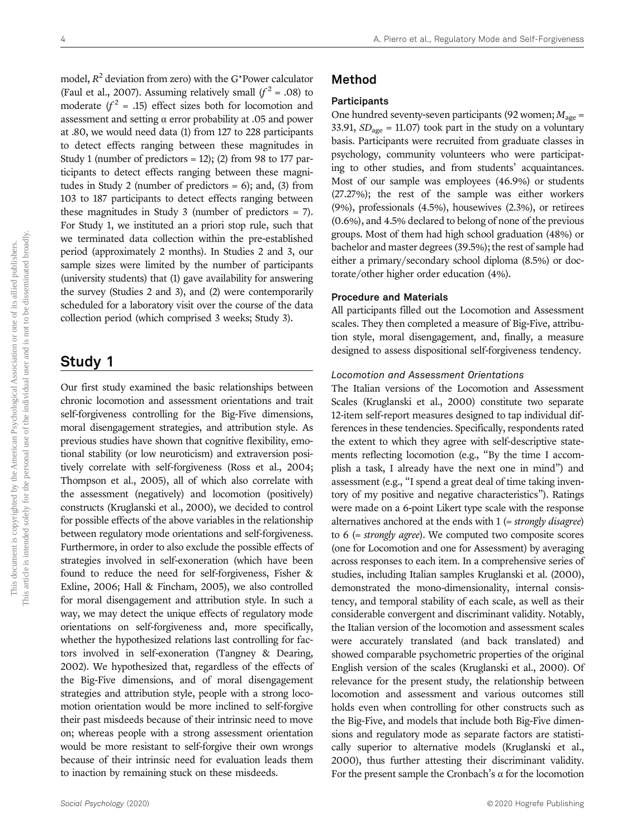model,  $R^2$  deviation from zero) with the G\*Power calculator (Faul et al., 2007). Assuming relatively small  $(f^2 = .08)$  to moderate ( $f^2$  = .15) effect sizes both for locomotion and assessment and setting α error probability at .05 and power at .80, we would need data (1) from 127 to 228 participants to detect effects ranging between these magnitudes in Study 1 (number of predictors  $= 12$ ); (2) from 98 to 177 participants to detect effects ranging between these magnitudes in Study 2 (number of predictors = 6); and, (3) from 103 to 187 participants to detect effects ranging between these magnitudes in Study 3 (number of predictors = 7). For Study 1, we instituted an a priori stop rule, such that we terminated data collection within the pre-established period (approximately 2 months). In Studies 2 and 3, our sample sizes were limited by the number of participants (university students) that (1) gave availability for answering the survey (Studies 2 and 3), and (2) were contemporarily scheduled for a laboratory visit over the course of the data collection period (which comprised 3 weeks; Study 3).

## Study 1

Our first study examined the basic relationships between chronic locomotion and assessment orientations and trait self-forgiveness controlling for the Big-Five dimensions, moral disengagement strategies, and attribution style. As previous studies have shown that cognitive flexibility, emotional stability (or low neuroticism) and extraversion positively correlate with self-forgiveness (Ross et al., 2004; Thompson et al., 2005), all of which also correlate with the assessment (negatively) and locomotion (positively) constructs (Kruglanski et al., 2000), we decided to control for possible effects of the above variables in the relationship between regulatory mode orientations and self-forgiveness. Furthermore, in order to also exclude the possible effects of strategies involved in self-exoneration (which have been found to reduce the need for self-forgiveness, Fisher & Exline, 2006; Hall & Fincham, 2005), we also controlled for moral disengagement and attribution style. In such a way, we may detect the unique effects of regulatory mode orientations on self-forgiveness and, more specifically, whether the hypothesized relations last controlling for factors involved in self-exoneration (Tangney & Dearing, 2002). We hypothesized that, regardless of the effects of the Big-Five dimensions, and of moral disengagement strategies and attribution style, people with a strong locomotion orientation would be more inclined to self-forgive their past misdeeds because of their intrinsic need to move on; whereas people with a strong assessment orientation would be more resistant to self-forgive their own wrongs because of their intrinsic need for evaluation leads them to inaction by remaining stuck on these misdeeds.

## Participants

One hundred seventy-seven participants (92 women;  $M_{\text{age}} =$ 33.91,  $SD<sub>age</sub> = 11.07$  took part in the study on a voluntary basis. Participants were recruited from graduate classes in psychology, community volunteers who were participating to other studies, and from students' acquaintances. Most of our sample was employees (46.9%) or students (27.27%); the rest of the sample was either workers (9%), professionals (4.5%), housewives (2.3%), or retirees (0.6%), and 4.5% declared to belong of none of the previous groups. Most of them had high school graduation (48%) or bachelor and master degrees (39.5%); the rest of sample had either a primary/secondary school diploma (8.5%) or doctorate/other higher order education (4%).

## Procedure and Materials

All participants filled out the Locomotion and Assessment scales. They then completed a measure of Big-Five, attribution style, moral disengagement, and, finally, a measure designed to assess dispositional self-forgiveness tendency.

#### Locomotion and Assessment Orientations

The Italian versions of the Locomotion and Assessment Scales (Kruglanski et al., 2000) constitute two separate 12-item self-report measures designed to tap individual differences in these tendencies. Specifically, respondents rated the extent to which they agree with self-descriptive statements reflecting locomotion (e.g., "By the time I accomplish a task, I already have the next one in mind") and assessment (e.g., "I spend a great deal of time taking inventory of my positive and negative characteristics"). Ratings were made on a 6-point Likert type scale with the response alternatives anchored at the ends with 1 (= strongly disagree) to 6 (= strongly agree). We computed two composite scores (one for Locomotion and one for Assessment) by averaging across responses to each item. In a comprehensive series of studies, including Italian samples Kruglanski et al. (2000), demonstrated the mono-dimensionality, internal consistency, and temporal stability of each scale, as well as their considerable convergent and discriminant validity. Notably, the Italian version of the locomotion and assessment scales were accurately translated (and back translated) and showed comparable psychometric properties of the original English version of the scales (Kruglanski et al., 2000). Of relevance for the present study, the relationship between locomotion and assessment and various outcomes still holds even when controlling for other constructs such as the Big-Five, and models that include both Big-Five dimensions and regulatory mode as separate factors are statistically superior to alternative models (Kruglanski et al., 2000), thus further attesting their discriminant validity. For the present sample the Cronbach's  $\alpha$  for the locomotion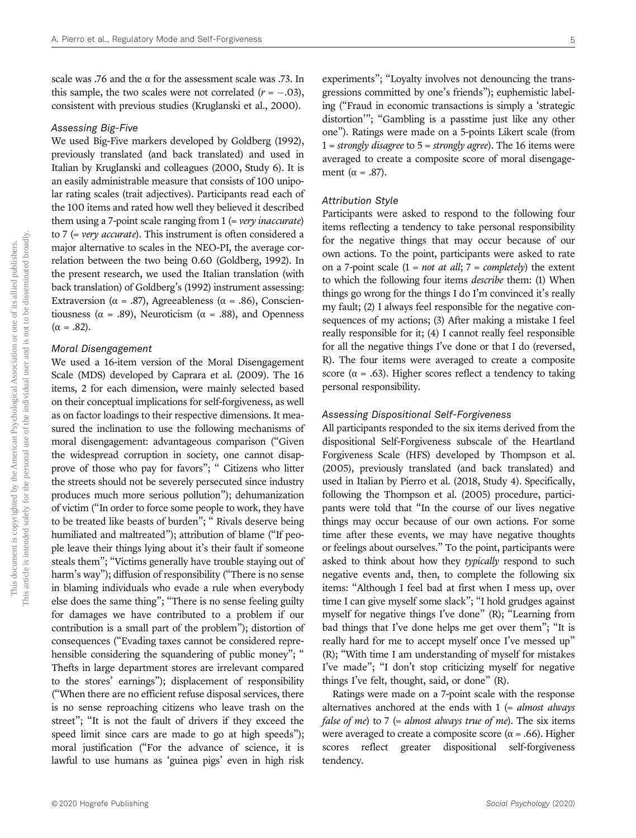scale was .76 and the  $\alpha$  for the assessment scale was .73. In this sample, the two scales were not correlated  $(r = -.03)$ , consistent with previous studies (Kruglanski et al., 2000).

## Assessing Big-Five

We used Big-Five markers developed by Goldberg (1992), previously translated (and back translated) and used in Italian by Kruglanski and colleagues (2000, Study 6). It is an easily administrable measure that consists of 100 unipolar rating scales (trait adjectives). Participants read each of the 100 items and rated how well they believed it described them using a 7-point scale ranging from  $1$  (= very inaccurate) to 7 (= very accurate). This instrument is often considered a major alternative to scales in the NEO-PI, the average correlation between the two being 0.60 (Goldberg, 1992). In the present research, we used the Italian translation (with back translation) of Goldberg's (1992) instrument assessing: Extraversion ( $\alpha = .87$ ), Agreeableness ( $\alpha = .86$ ), Conscientiousness ( $\alpha = .89$ ), Neuroticism ( $\alpha = .88$ ), and Openness (α = .82).

#### Moral Disengagement

We used a 16-item version of the Moral Disengagement Scale (MDS) developed by Caprara et al. (2009). The 16 items, 2 for each dimension, were mainly selected based on their conceptual implications for self-forgiveness, as well as on factor loadings to their respective dimensions. It measured the inclination to use the following mechanisms of moral disengagement: advantageous comparison ("Given the widespread corruption in society, one cannot disapprove of those who pay for favors"; " Citizens who litter the streets should not be severely persecuted since industry produces much more serious pollution"); dehumanization of victim ("In order to force some people to work, they have to be treated like beasts of burden"; " Rivals deserve being humiliated and maltreated"); attribution of blame ("If people leave their things lying about it's their fault if someone steals them"; "Victims generally have trouble staying out of harm's way"); diffusion of responsibility ("There is no sense in blaming individuals who evade a rule when everybody else does the same thing"; "There is no sense feeling guilty for damages we have contributed to a problem if our contribution is a small part of the problem"); distortion of consequences ("Evading taxes cannot be considered reprehensible considering the squandering of public money"; " Thefts in large department stores are irrelevant compared to the stores' earnings"); displacement of responsibility ("When there are no efficient refuse disposal services, there is no sense reproaching citizens who leave trash on the street"; "It is not the fault of drivers if they exceed the speed limit since cars are made to go at high speeds"); moral justification ("For the advance of science, it is lawful to use humans as 'guinea pigs' even in high risk

experiments"; "Loyalty involves not denouncing the transgressions committed by one's friends"); euphemistic labeling ("Fraud in economic transactions is simply a 'strategic distortion'"; "Gambling is a passtime just like any other one"). Ratings were made on a 5-points Likert scale (from  $1 =$  strongly disagree to  $5 =$  strongly agree). The 16 items were averaged to create a composite score of moral disengagement ( $\alpha = .87$ ).

#### Attribution Style

Participants were asked to respond to the following four items reflecting a tendency to take personal responsibility for the negative things that may occur because of our own actions. To the point, participants were asked to rate on a 7-point scale  $(1 = not at all; 7 = completely)$  the extent to which the following four items describe them: (1) When things go wrong for the things I do I'm convinced it's really my fault; (2) I always feel responsible for the negative consequences of my actions; (3) After making a mistake I feel really responsible for it; (4) I cannot really feel responsible for all the negative things I've done or that I do (reversed, R). The four items were averaged to create a composite score ( $\alpha$  = .63). Higher scores reflect a tendency to taking personal responsibility.

## Assessing Dispositional Self-Forgiveness

All participants responded to the six items derived from the dispositional Self-Forgiveness subscale of the Heartland Forgiveness Scale (HFS) developed by Thompson et al. (2005), previously translated (and back translated) and used in Italian by Pierro et al. (2018, Study 4). Specifically, following the Thompson et al. (2005) procedure, participants were told that "In the course of our lives negative things may occur because of our own actions. For some time after these events, we may have negative thoughts or feelings about ourselves." To the point, participants were asked to think about how they typically respond to such negative events and, then, to complete the following six items: "Although I feel bad at first when I mess up, over time I can give myself some slack"; "I hold grudges against myself for negative things I've done" (R); "Learning from bad things that I've done helps me get over them"; "It is really hard for me to accept myself once I've messed up" (R); "With time I am understanding of myself for mistakes I've made"; "I don't stop criticizing myself for negative things I've felt, thought, said, or done" (R).

Ratings were made on a 7-point scale with the response alternatives anchored at the ends with  $1$  (= almost always *false of me*) to 7 (= *almost always true of me*). The six items were averaged to create a composite score ( $\alpha$  = .66). Higher scores reflect greater dispositional self-forgiveness tendency.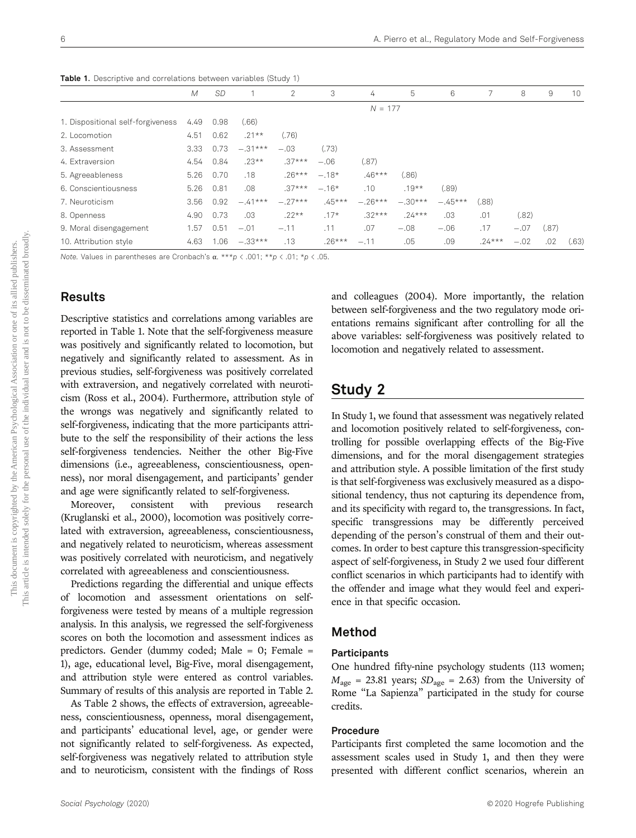|                                   | M    | <b>SD</b> |           | 2         | 3        | 4         | 5         | 6         |          | 8      | 9     | 10    |
|-----------------------------------|------|-----------|-----------|-----------|----------|-----------|-----------|-----------|----------|--------|-------|-------|
|                                   |      |           |           |           |          | $N = 177$ |           |           |          |        |       |       |
| 1. Dispositional self-forgiveness | 4.49 | 0.98      | (0.66)    |           |          |           |           |           |          |        |       |       |
| 2. Locomotion                     | 4.51 | 0.62      | $.21**$   | (.76)     |          |           |           |           |          |        |       |       |
| 3. Assessment                     | 3.33 | 0.73      | $-.31***$ | $-.03$    | (.73)    |           |           |           |          |        |       |       |
| 4. Extraversion                   | 4.54 | 0.84      | $.23**$   | $.37***$  | $-.06$   | (.87)     |           |           |          |        |       |       |
| 5. Agreeableness                  | 5.26 | 0.70      | .18       | $.26***$  | $-.18*$  | $.46***$  | (.86)     |           |          |        |       |       |
| 6. Conscientiousness              | 5.26 | 0.81      | .08       | $.37***$  | $-.16*$  | .10       | $.19**$   | (.89)     |          |        |       |       |
| 7. Neuroticism                    | 3.56 | 0.92      | $-.41***$ | $-.27***$ | $.45***$ | $-.26***$ | $-.30***$ | $-.45***$ | (.88)    |        |       |       |
| 8. Openness                       | 4.90 | 0.73      | .03       | $.22**$   | $.17*$   | $.32***$  | $.24***$  | .03       | .01      | (.82)  |       |       |
| 9. Moral disengagement            | 1.57 | 0.51      | $-.01$    | $-.11$    | .11      | .07       | $-.08$    | $-.06$    | .17      | $-.07$ | (.87) |       |
| 10. Attribution style             | 4.63 | .06       | $-.33***$ | .13       | $.26***$ | $-.11$    | .05       | .09       | $.24***$ | $-.02$ | .02   | (.63) |

Table 1. Descriptive and correlations between variables (Study 1)

Note. Values in parentheses are Cronbach's α. \*\*\*p < .001; \*\*p < .01; \*p < .05.

## Results

Descriptive statistics and correlations among variables are reported in Table 1. Note that the self-forgiveness measure was positively and significantly related to locomotion, but negatively and significantly related to assessment. As in previous studies, self-forgiveness was positively correlated with extraversion, and negatively correlated with neuroticism (Ross et al., 2004). Furthermore, attribution style of the wrongs was negatively and significantly related to self-forgiveness, indicating that the more participants attribute to the self the responsibility of their actions the less self-forgiveness tendencies. Neither the other Big-Five dimensions (i.e., agreeableness, conscientiousness, openness), nor moral disengagement, and participants' gender and age were significantly related to self-forgiveness.

Moreover, consistent with previous research (Kruglanski et al., 2000), locomotion was positively correlated with extraversion, agreeableness, conscientiousness, and negatively related to neuroticism, whereas assessment was positively correlated with neuroticism, and negatively correlated with agreeableness and conscientiousness.

Predictions regarding the differential and unique effects of locomotion and assessment orientations on selfforgiveness were tested by means of a multiple regression analysis. In this analysis, we regressed the self-forgiveness scores on both the locomotion and assessment indices as predictors. Gender (dummy coded; Male = 0; Female = 1), age, educational level, Big-Five, moral disengagement, and attribution style were entered as control variables. Summary of results of this analysis are reported in Table 2.

As Table 2 shows, the effects of extraversion, agreeableness, conscientiousness, openness, moral disengagement, and participants' educational level, age, or gender were not significantly related to self-forgiveness. As expected, self-forgiveness was negatively related to attribution style and to neuroticism, consistent with the findings of Ross and colleagues (2004). More importantly, the relation between self-forgiveness and the two regulatory mode orientations remains significant after controlling for all the above variables: self-forgiveness was positively related to locomotion and negatively related to assessment.

## Study 2

In Study 1, we found that assessment was negatively related and locomotion positively related to self-forgiveness, controlling for possible overlapping effects of the Big-Five dimensions, and for the moral disengagement strategies and attribution style. A possible limitation of the first study is that self-forgiveness was exclusively measured as a dispositional tendency, thus not capturing its dependence from, and its specificity with regard to, the transgressions. In fact, specific transgressions may be differently perceived depending of the person's construal of them and their outcomes. In order to best capture this transgression-specificity aspect of self-forgiveness, in Study 2 we used four different conflict scenarios in which participants had to identify with the offender and image what they would feel and experience in that specific occasion.

## Method

## **Participants**

One hundred fifty-nine psychology students (113 women;  $M_{\text{age}}$  = 23.81 years;  $SD_{\text{age}}$  = 2.63) from the University of Rome "La Sapienza" participated in the study for course credits.

## Procedure

Participants first completed the same locomotion and the assessment scales used in Study 1, and then they were presented with different conflict scenarios, wherein an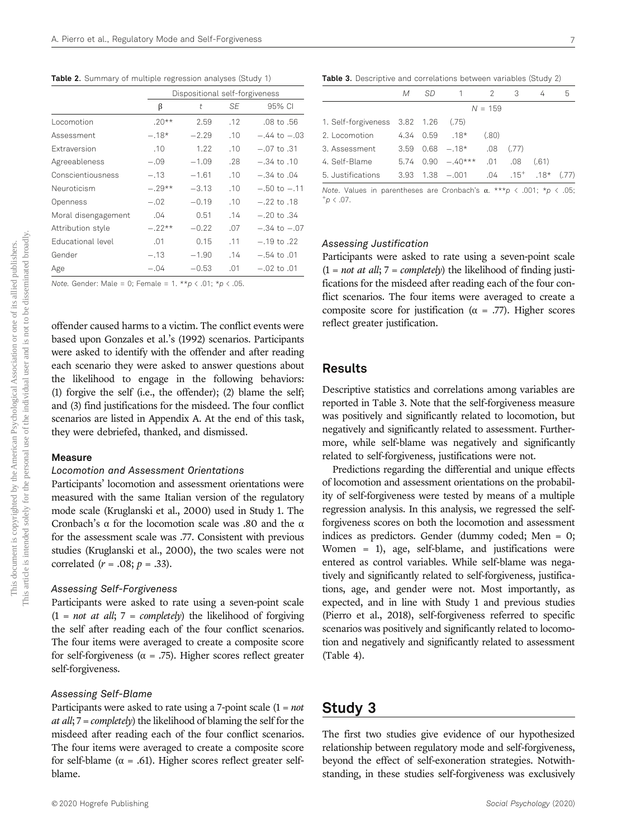Table 2. Summary of multiple regression analyses (Study 1)

|                          | Dispositional self-forgiveness |         |     |                  |  |
|--------------------------|--------------------------------|---------|-----|------------------|--|
|                          | β                              | t       | SF  | 95% CI           |  |
| Locomotion               | $.20**$                        | 2.59    | .12 | $.08$ to $.56$   |  |
| Assessment               | $-.18*$                        | $-2.29$ | .10 | $-.44$ to $-.03$ |  |
| <b>Extraversion</b>      | .10                            | 1.22    | .10 | $-.07$ to $.31$  |  |
| Agreeableness            | $-.09$                         | $-1.09$ | .28 | $-.34$ to $.10$  |  |
| Conscientiousness        | $-.13$                         | $-1.61$ | .10 | $-.34$ to $.04$  |  |
| Neuroticism              | $-.29**$                       | $-3.13$ | .10 | $-.50$ to $-.11$ |  |
| Openness                 | $-.02$                         | $-0.19$ | .10 | $-.22$ to $.18$  |  |
| Moral disengagement      | .04                            | 0.51    | .14 | $-.20$ to $.34$  |  |
| Attribution style        | $-.22**$                       | $-0.22$ | .07 | $-.34$ to $-.07$ |  |
| <b>Educational level</b> | .01                            | 0.15    | .11 | $-.19$ to $.22$  |  |
| Gender                   | $-.13$                         | $-1.90$ | .14 | $-.54$ to $.01$  |  |
| Age                      | $-.04$                         | $-0.53$ | .01 | $-.02$ to $.01$  |  |

Note. Gender: Male = 0; Female = 1. \*\* $p \lt .01$ ; \* $p \lt .05$ .

offender caused harms to a victim. The conflict events were based upon Gonzales et al.'s (1992) scenarios. Participants were asked to identify with the offender and after reading each scenario they were asked to answer questions about the likelihood to engage in the following behaviors: (1) forgive the self (i.e., the offender); (2) blame the self; and (3) find justifications for the misdeed. The four conflict scenarios are listed in Appendix A. At the end of this task, they were debriefed, thanked, and dismissed.

#### Measure

## Locomotion and Assessment Orientations

Participants' locomotion and assessment orientations were measured with the same Italian version of the regulatory mode scale (Kruglanski et al., 2000) used in Study 1. The Cronbach's  $\alpha$  for the locomotion scale was .80 and the  $\alpha$ for the assessment scale was .77. Consistent with previous studies (Kruglanski et al., 2000), the two scales were not correlated  $(r = .08; p = .33)$ .

#### Assessing Self-Forgiveness

Participants were asked to rate using a seven-point scale  $(1 = not at all; 7 = completely)$  the likelihood of forgiving the self after reading each of the four conflict scenarios. The four items were averaged to create a composite score for self-forgiveness ( $\alpha$  = .75). Higher scores reflect greater self-forgiveness.

#### Assessing Self-Blame

Participants were asked to rate using a 7-point scale  $(1 = not$ *at all*;  $7 = completely$  the likelihood of blaming the self for the misdeed after reading each of the four conflict scenarios. The four items were averaged to create a composite score for self-blame ( $\alpha$  = .61). Higher scores reflect greater selfblame.

|                                     | М    | SD. |                         | $\overline{2}$ | 3                               | 4     | 5 |
|-------------------------------------|------|-----|-------------------------|----------------|---------------------------------|-------|---|
|                                     |      |     |                         | $N = 159$      |                                 |       |   |
| 1. Self-forgiveness 3.82 1.26 (.75) |      |     |                         |                |                                 |       |   |
| 2. Locomotion                       |      |     | $4.34$ 0.59 .18*        | (.80)          |                                 |       |   |
| 3. Assessment                       | 3.59 |     | $0.68 - 18*$            | .08            | (.77)                           |       |   |
| 4. Self-Blame                       |      |     | $5.74$ $0.90$ $-.40***$ | .01            | .08                             | (.61) |   |
| 5. Justifications                   |      |     | $3.93$ $1.38$ $-.001$   |                | $.04$ $.15^{+}$ $.18^{+}$ (.77) |       |   |
|                                     |      |     |                         |                |                                 |       |   |

Note. Values in parentheses are Cronbach's  $\alpha$ . \*\*\*p < .001; \*p < .05;  $^+$ p  $\lt$  .07.

## Assessing Justification

Participants were asked to rate using a seven-point scale  $(1 = not at all; 7 = completely)$  the likelihood of finding justifications for the misdeed after reading each of the four conflict scenarios. The four items were averaged to create a composite score for justification ( $\alpha$  = .77). Higher scores reflect greater justification.

## Results

Descriptive statistics and correlations among variables are reported in Table 3. Note that the self-forgiveness measure was positively and significantly related to locomotion, but negatively and significantly related to assessment. Furthermore, while self-blame was negatively and significantly related to self-forgiveness, justifications were not.

Predictions regarding the differential and unique effects of locomotion and assessment orientations on the probability of self-forgiveness were tested by means of a multiple regression analysis. In this analysis, we regressed the selfforgiveness scores on both the locomotion and assessment indices as predictors. Gender (dummy coded; Men = 0; Women = 1), age, self-blame, and justifications were entered as control variables. While self-blame was negatively and significantly related to self-forgiveness, justifications, age, and gender were not. Most importantly, as expected, and in line with Study 1 and previous studies (Pierro et al., 2018), self-forgiveness referred to specific scenarios was positively and significantly related to locomotion and negatively and significantly related to assessment (Table 4).

## Study 3

The first two studies give evidence of our hypothesized relationship between regulatory mode and self-forgiveness, beyond the effect of self-exoneration strategies. Notwithstanding, in these studies self-forgiveness was exclusively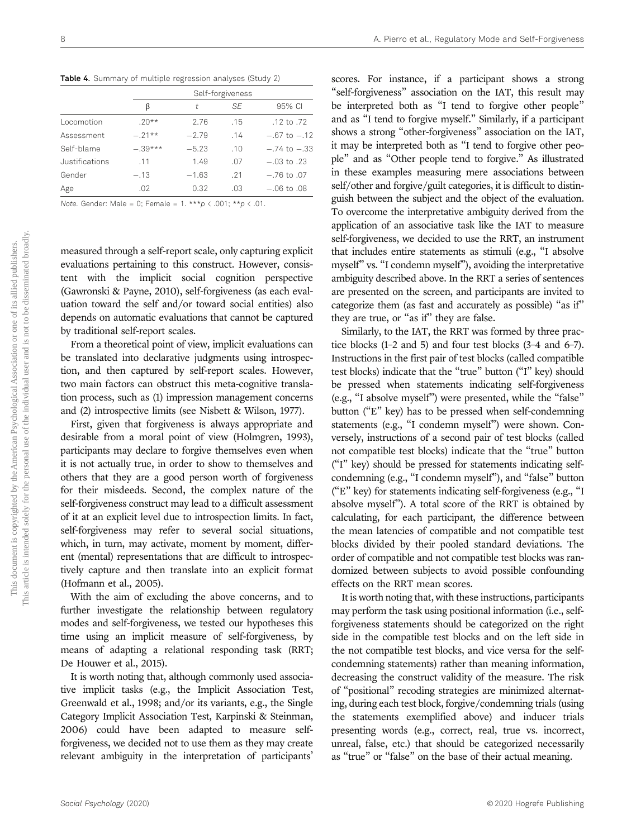Table 4. Summary of multiple regression analyses (Study 2)

|                |          | Self-forgiveness |     |                  |  |  |  |
|----------------|----------|------------------|-----|------------------|--|--|--|
|                |          | t                | SF  | 95% CI           |  |  |  |
| Locomotion     | $20**$   | 2.76             | .15 | .12 to .72       |  |  |  |
| Assessment     | $-.21**$ | $-2.79$          | .14 | $-.67$ to $-.12$ |  |  |  |
| Self-blame     | $-39***$ | $-5.23$          | .10 | $-.74$ to $-.33$ |  |  |  |
| Justifications | .11      | 1.49             | .07 | $-.03$ to .23    |  |  |  |
| Gender         | $-.13$   | $-1.63$          | .21 | $-76$ to 0.7     |  |  |  |
| Age            | .02      | 0.32             | .03 | $-.06$ to $.08$  |  |  |  |

Note. Gender: Male = 0; Female =  $1.***p < .001; **p < .01$ .

measured through a self-report scale, only capturing explicit evaluations pertaining to this construct. However, consistent with the implicit social cognition perspective (Gawronski & Payne, 2010), self-forgiveness (as each evaluation toward the self and/or toward social entities) also depends on automatic evaluations that cannot be captured by traditional self-report scales.

From a theoretical point of view, implicit evaluations can be translated into declarative judgments using introspection, and then captured by self-report scales. However, two main factors can obstruct this meta-cognitive translation process, such as (1) impression management concerns and (2) introspective limits (see Nisbett & Wilson, 1977).

First, given that forgiveness is always appropriate and desirable from a moral point of view (Holmgren, 1993), participants may declare to forgive themselves even when it is not actually true, in order to show to themselves and others that they are a good person worth of forgiveness for their misdeeds. Second, the complex nature of the self-forgiveness construct may lead to a difficult assessment of it at an explicit level due to introspection limits. In fact, self-forgiveness may refer to several social situations, which, in turn, may activate, moment by moment, different (mental) representations that are difficult to introspectively capture and then translate into an explicit format (Hofmann et al., 2005).

With the aim of excluding the above concerns, and to further investigate the relationship between regulatory modes and self-forgiveness, we tested our hypotheses this time using an implicit measure of self-forgiveness, by means of adapting a relational responding task (RRT; De Houwer et al., 2015).

It is worth noting that, although commonly used associative implicit tasks (e.g., the Implicit Association Test, Greenwald et al., 1998; and/or its variants, e.g., the Single Category Implicit Association Test, Karpinski & Steinman, 2006) could have been adapted to measure selfforgiveness, we decided not to use them as they may create relevant ambiguity in the interpretation of participants' scores. For instance, if a participant shows a strong "self-forgiveness" association on the IAT, this result may be interpreted both as "I tend to forgive other people" and as "I tend to forgive myself." Similarly, if a participant shows a strong "other-forgiveness" association on the IAT, it may be interpreted both as "I tend to forgive other people" and as "Other people tend to forgive." As illustrated in these examples measuring mere associations between self/other and forgive/guilt categories, it is difficult to distinguish between the subject and the object of the evaluation. To overcome the interpretative ambiguity derived from the application of an associative task like the IAT to measure self-forgiveness, we decided to use the RRT, an instrument that includes entire statements as stimuli (e.g., "I absolve myself" vs. "I condemn myself"), avoiding the interpretative ambiguity described above. In the RRT a series of sentences are presented on the screen, and participants are invited to categorize them (as fast and accurately as possible) "as if" they are true, or "as if" they are false.

Similarly, to the IAT, the RRT was formed by three practice blocks (1–2 and 5) and four test blocks (3–4 and 6–7). Instructions in the first pair of test blocks (called compatible test blocks) indicate that the "true" button ("I" key) should be pressed when statements indicating self-forgiveness (e.g., "I absolve myself") were presented, while the "false" button ("E" key) has to be pressed when self-condemning statements (e.g., "I condemn myself") were shown. Conversely, instructions of a second pair of test blocks (called not compatible test blocks) indicate that the "true" button ("I" key) should be pressed for statements indicating selfcondemning (e.g., "I condemn myself"), and "false" button  $($ "E" key) for statements indicating self-forgiveness (e.g., "I absolve myself"). A total score of the RRT is obtained by calculating, for each participant, the difference between the mean latencies of compatible and not compatible test blocks divided by their pooled standard deviations. The order of compatible and not compatible test blocks was randomized between subjects to avoid possible confounding effects on the RRT mean scores.

It is worth noting that, with these instructions, participants may perform the task using positional information (i.e., selfforgiveness statements should be categorized on the right side in the compatible test blocks and on the left side in the not compatible test blocks, and vice versa for the selfcondemning statements) rather than meaning information, decreasing the construct validity of the measure. The risk of "positional" recoding strategies are minimized alternating, during each test block, forgive/condemning trials (using the statements exemplified above) and inducer trials presenting words (e.g., correct, real, true vs. incorrect, unreal, false, etc.) that should be categorized necessarily as "true" or "false" on the base of their actual meaning.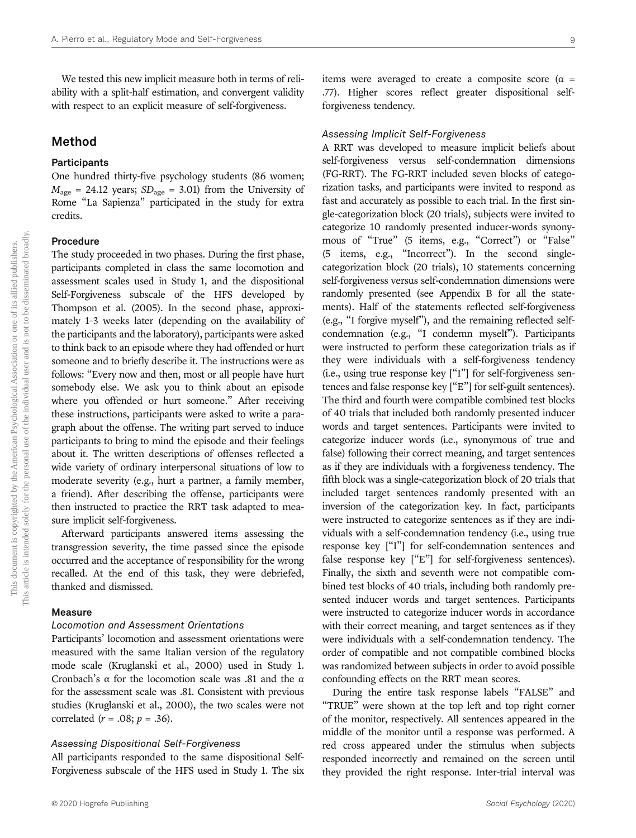We tested this new implicit measure both in terms of reliability with a split-half estimation, and convergent validity with respect to an explicit measure of self-forgiveness.

## Method

## Participants

One hundred thirty-five psychology students (86 women;  $M_{\text{age}} = 24.12$  years;  $SD_{\text{age}} = 3.01$ ) from the University of Rome "La Sapienza" participated in the study for extra credits.

## Procedure

The study proceeded in two phases. During the first phase, participants completed in class the same locomotion and assessment scales used in Study 1, and the dispositional Self-Forgiveness subscale of the HFS developed by Thompson et al. (2005). In the second phase, approximately 1–3 weeks later (depending on the availability of the participants and the laboratory), participants were asked to think back to an episode where they had offended or hurt someone and to briefly describe it. The instructions were as follows: "Every now and then, most or all people have hurt somebody else. We ask you to think about an episode where you offended or hurt someone." After receiving these instructions, participants were asked to write a paragraph about the offense. The writing part served to induce participants to bring to mind the episode and their feelings about it. The written descriptions of offenses reflected a wide variety of ordinary interpersonal situations of low to moderate severity (e.g., hurt a partner, a family member, a friend). After describing the offense, participants were then instructed to practice the RRT task adapted to measure implicit self-forgiveness.

Afterward participants answered items assessing the transgression severity, the time passed since the episode occurred and the acceptance of responsibility for the wrong recalled. At the end of this task, they were debriefed, thanked and dismissed.

## Measure

## Locomotion and Assessment Orientations

Participants' locomotion and assessment orientations were measured with the same Italian version of the regulatory mode scale (Kruglanski et al., 2000) used in Study 1. Cronbach's  $\alpha$  for the locomotion scale was .81 and the  $\alpha$ for the assessment scale was .81. Consistent with previous studies (Kruglanski et al., 2000), the two scales were not correlated  $(r = .08; p = .36)$ .

## Assessing Dispositional Self-Forgiveness

All participants responded to the same dispositional Self-Forgiveness subscale of the HFS used in Study 1. The six items were averaged to create a composite score ( $\alpha$  = .77). Higher scores reflect greater dispositional selfforgiveness tendency.

#### Assessing Implicit Self-Forgiveness

A RRT was developed to measure implicit beliefs about self-forgiveness versus self-condemnation dimensions (FG-RRT). The FG-RRT included seven blocks of categorization tasks, and participants were invited to respond as fast and accurately as possible to each trial. In the first single-categorization block (20 trials), subjects were invited to categorize 10 randomly presented inducer-words synonymous of "True" (5 items, e.g., "Correct") or "False" (5 items, e.g., "Incorrect"). In the second singlecategorization block (20 trials), 10 statements concerning self-forgiveness versus self-condemnation dimensions were randomly presented (see Appendix B for all the statements). Half of the statements reflected self-forgiveness (e.g., "I forgive myself"), and the remaining reflected selfcondemnation (e.g., "I condemn myself"). Participants were instructed to perform these categorization trials as if they were individuals with a self-forgiveness tendency (i.e., using true response key ["I"] for self-forgiveness sentences and false response key ["E"] for self-guilt sentences). The third and fourth were compatible combined test blocks of 40 trials that included both randomly presented inducer words and target sentences. Participants were invited to categorize inducer words (i.e., synonymous of true and false) following their correct meaning, and target sentences as if they are individuals with a forgiveness tendency. The fifth block was a single-categorization block of 20 trials that included target sentences randomly presented with an inversion of the categorization key. In fact, participants were instructed to categorize sentences as if they are individuals with a self-condemnation tendency (i.e., using true response key ["I"] for self-condemnation sentences and false response key ["E"] for self-forgiveness sentences). Finally, the sixth and seventh were not compatible combined test blocks of 40 trials, including both randomly presented inducer words and target sentences. Participants were instructed to categorize inducer words in accordance with their correct meaning, and target sentences as if they were individuals with a self-condemnation tendency. The order of compatible and not compatible combined blocks was randomized between subjects in order to avoid possible confounding effects on the RRT mean scores.

During the entire task response labels "FALSE" and "TRUE" were shown at the top left and top right corner of the monitor, respectively. All sentences appeared in the middle of the monitor until a response was performed. A red cross appeared under the stimulus when subjects responded incorrectly and remained on the screen until they provided the right response. Inter-trial interval was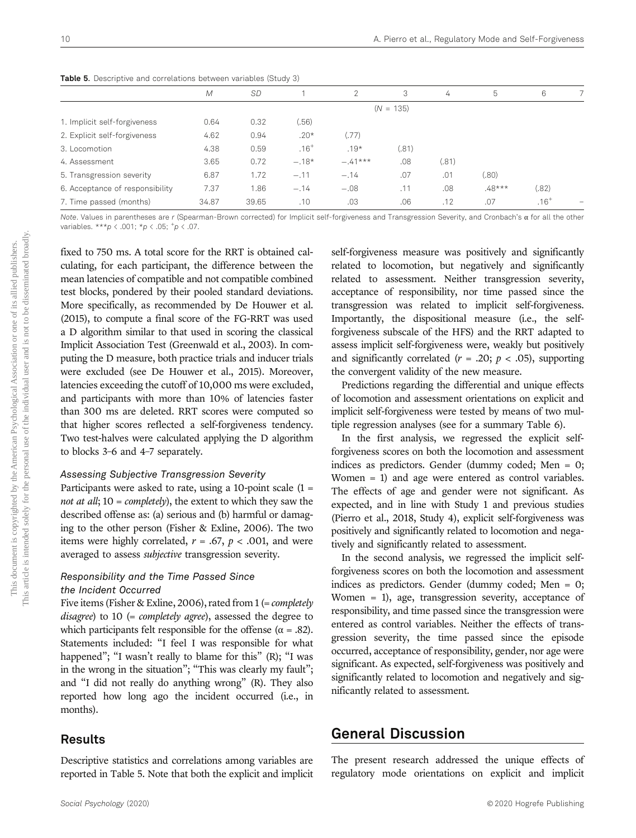| <b>Raple J.</b> Descriptive and correlations between variables (Study 3) |       |           |           |           |             |       |          |           |  |
|--------------------------------------------------------------------------|-------|-----------|-----------|-----------|-------------|-------|----------|-----------|--|
|                                                                          | M     | <b>SD</b> |           | 2         | 3           | 4     | 5        | 6         |  |
|                                                                          |       |           |           |           | $(N = 135)$ |       |          |           |  |
| 1. Implicit self-forgiveness                                             | 0.64  | 0.32      | (.56)     |           |             |       |          |           |  |
| 2. Explicit self-forgiveness                                             | 4.62  | 0.94      | $.20*$    | (.77)     |             |       |          |           |  |
| 3. Locomotion                                                            | 4.38  | 0.59      | $.16^{+}$ | $.19*$    | (.81)       |       |          |           |  |
| 4. Assessment                                                            | 3.65  | 0.72      | $-.18*$   | $-.41***$ | .08         | (.81) |          |           |  |
| 5. Transgression severity                                                | 6.87  | 1.72      | $-.11$    | $-.14$    | .07         | .01   | (.80)    |           |  |
| 6. Acceptance of responsibility                                          | 7.37  | 1.86      | $-.14$    | $-.08$    | .11         | .08   | $.48***$ | (.82)     |  |
| 7. Time passed (months)                                                  | 34.87 | 39.65     | .10       | .03       | .06         | .12   | .07      | $.16^{+}$ |  |

Table 5. Descriptive and correlations between variables (Study 3)

Note. Values in parentheses are r (Spearman-Brown corrected) for Implicit self-forgiveness and Transgression Severity, and Cronbach's α for all the other variables. \*\*\*p < .001; \*p < .05;  $^+p$  < .07.

fixed to 750 ms. A total score for the RRT is obtained calculating, for each participant, the difference between the mean latencies of compatible and not compatible combined test blocks, pondered by their pooled standard deviations. More specifically, as recommended by De Houwer et al. (2015), to compute a final score of the FG-RRT was used a D algorithm similar to that used in scoring the classical Implicit Association Test (Greenwald et al., 2003). In computing the D measure, both practice trials and inducer trials were excluded (see De Houwer et al., 2015). Moreover, latencies exceeding the cutoff of 10,000 ms were excluded, and participants with more than 10% of latencies faster than 300 ms are deleted. RRT scores were computed so that higher scores reflected a self-forgiveness tendency. Two test-halves were calculated applying the D algorithm to blocks 3–6 and 4–7 separately.

#### Assessing Subjective Transgression Severity

Participants were asked to rate, using a 10-point scale  $(1 =$ not at all;  $10 = completely$ ), the extent to which they saw the described offense as: (a) serious and (b) harmful or damaging to the other person (Fisher & Exline, 2006). The two items were highly correlated,  $r = .67$ ,  $p < .001$ , and were averaged to assess subjective transgression severity.

## Responsibility and the Time Passed Since the Incident Occurred

Five items (Fisher & Exline, 2006), rated from 1 (= *completely* disagree) to  $10$  (= completely agree), assessed the degree to which participants felt responsible for the offense ( $\alpha$  = .82). Statements included: "I feel I was responsible for what happened"; "I wasn't really to blame for this" (R); "I was in the wrong in the situation"; "This was clearly my fault"; and "I did not really do anything wrong" (R). They also reported how long ago the incident occurred (i.e., in months).

## Results

Descriptive statistics and correlations among variables are reported in Table 5. Note that both the explicit and implicit self-forgiveness measure was positively and significantly related to locomotion, but negatively and significantly related to assessment. Neither transgression severity, acceptance of responsibility, nor time passed since the transgression was related to implicit self-forgiveness. Importantly, the dispositional measure (i.e., the selfforgiveness subscale of the HFS) and the RRT adapted to assess implicit self-forgiveness were, weakly but positively and significantly correlated ( $r = .20$ ;  $p < .05$ ), supporting the convergent validity of the new measure.

Predictions regarding the differential and unique effects of locomotion and assessment orientations on explicit and implicit self-forgiveness were tested by means of two multiple regression analyses (see for a summary Table 6).

In the first analysis, we regressed the explicit selfforgiveness scores on both the locomotion and assessment indices as predictors. Gender (dummy coded; Men = 0; Women = 1) and age were entered as control variables. The effects of age and gender were not significant. As expected, and in line with Study 1 and previous studies (Pierro et al., 2018, Study 4), explicit self-forgiveness was positively and significantly related to locomotion and negatively and significantly related to assessment.

In the second analysis, we regressed the implicit selfforgiveness scores on both the locomotion and assessment indices as predictors. Gender (dummy coded; Men = 0; Women = 1), age, transgression severity, acceptance of responsibility, and time passed since the transgression were entered as control variables. Neither the effects of transgression severity, the time passed since the episode occurred, acceptance of responsibility, gender, nor age were significant. As expected, self-forgiveness was positively and significantly related to locomotion and negatively and significantly related to assessment.

## General Discussion

The present research addressed the unique effects of regulatory mode orientations on explicit and implicit

This article is intended solely for the personal use of the individual user and is not to be disseminated broadly. This article is intended solely for the personal use of the individual user and is not to be disseminated broadly.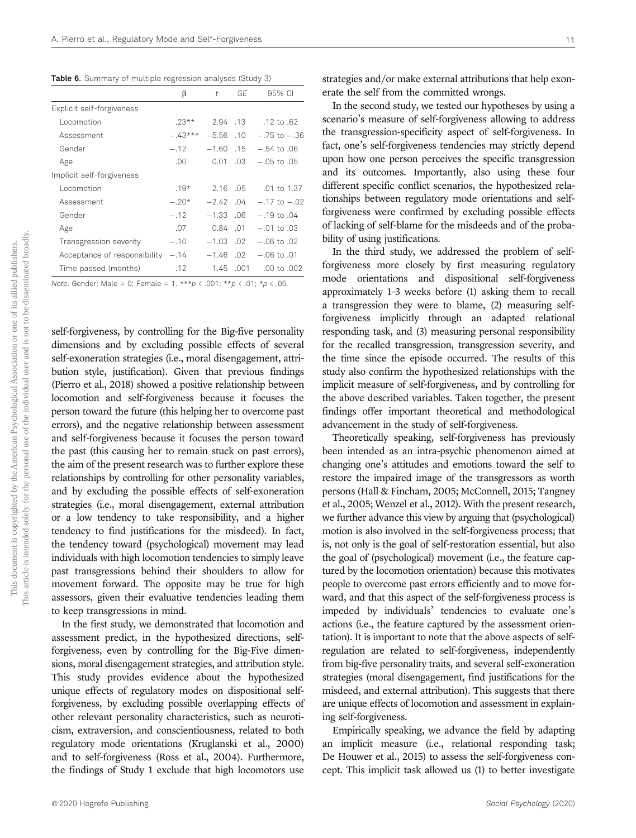Table 6. Summary of multiple regression analyses (Study 3)

|                              | β         | t           | SF.       | 95% CI           |
|------------------------------|-----------|-------------|-----------|------------------|
| Explicit self-forgiveness    |           |             |           |                  |
| Locomotion                   | $.23**$   |             | 2.94 .13  | .12 to .62       |
| Assessment                   | $-.43***$ | $-5.56$ .10 |           | $-.75$ to $-.36$ |
| Gender                       | $-.12$    | $-1.60$ .15 |           | $-.54$ to $.06$  |
| Age                          | .00       | 0.01        | .03       | $-.05$ to $.05$  |
| Implicit self-forgiveness    |           |             |           |                  |
| Locomotion                   | $.19*$    | 2.16        | .05       | $.01$ to $1.37$  |
| Assessment                   | $-.20*$   | $-2.42$ .04 |           | $-.17$ to $-.02$ |
| Gender                       | $-.12$    | $-1.33.06$  |           | $-.19$ to .04    |
| Age                          | .07       | 0.84 .01    |           | $-.01$ to $.03$  |
| Transgression severity       | $-.10$    | $-1.03$ .02 |           | $-.06$ to $.02$  |
| Acceptance of responsibility | $-.14$    | $-1.46$ .02 |           | $-.06$ to $.01$  |
| Time passed (months)         | .12       |             | 1.45 .001 | $.00$ to $.002$  |

Note. Gender: Male = 0; Female =  $1.***p < .001; **p < .01; **p < .05$ .

self-forgiveness, by controlling for the Big-five personality dimensions and by excluding possible effects of several self-exoneration strategies (i.e., moral disengagement, attribution style, justification). Given that previous findings (Pierro et al., 2018) showed a positive relationship between locomotion and self-forgiveness because it focuses the person toward the future (this helping her to overcome past errors), and the negative relationship between assessment and self-forgiveness because it focuses the person toward the past (this causing her to remain stuck on past errors), the aim of the present research was to further explore these relationships by controlling for other personality variables, and by excluding the possible effects of self-exoneration strategies (i.e., moral disengagement, external attribution or a low tendency to take responsibility, and a higher tendency to find justifications for the misdeed). In fact, the tendency toward (psychological) movement may lead individuals with high locomotion tendencies to simply leave past transgressions behind their shoulders to allow for movement forward. The opposite may be true for high assessors, given their evaluative tendencies leading them to keep transgressions in mind.

In the first study, we demonstrated that locomotion and assessment predict, in the hypothesized directions, selfforgiveness, even by controlling for the Big-Five dimensions, moral disengagement strategies, and attribution style. This study provides evidence about the hypothesized unique effects of regulatory modes on dispositional selfforgiveness, by excluding possible overlapping effects of other relevant personality characteristics, such as neuroticism, extraversion, and conscientiousness, related to both regulatory mode orientations (Kruglanski et al., 2000) and to self-forgiveness (Ross et al., 2004). Furthermore, the findings of Study 1 exclude that high locomotors use

strategies and/or make external attributions that help exonerate the self from the committed wrongs.

In the second study, we tested our hypotheses by using a scenario's measure of self-forgiveness allowing to address the transgression-specificity aspect of self-forgiveness. In fact, one's self-forgiveness tendencies may strictly depend upon how one person perceives the specific transgression and its outcomes. Importantly, also using these four different specific conflict scenarios, the hypothesized relationships between regulatory mode orientations and selfforgiveness were confirmed by excluding possible effects of lacking of self-blame for the misdeeds and of the probability of using justifications.

In the third study, we addressed the problem of selfforgiveness more closely by first measuring regulatory mode orientations and dispositional self-forgiveness approximately 1–3 weeks before (1) asking them to recall a transgression they were to blame, (2) measuring selfforgiveness implicitly through an adapted relational responding task, and (3) measuring personal responsibility for the recalled transgression, transgression severity, and the time since the episode occurred. The results of this study also confirm the hypothesized relationships with the implicit measure of self-forgiveness, and by controlling for the above described variables. Taken together, the present findings offer important theoretical and methodological advancement in the study of self-forgiveness.

Theoretically speaking, self-forgiveness has previously been intended as an intra-psychic phenomenon aimed at changing one's attitudes and emotions toward the self to restore the impaired image of the transgressors as worth persons (Hall & Fincham, 2005; McConnell, 2015; Tangney et al., 2005; Wenzel et al., 2012). With the present research, we further advance this view by arguing that (psychological) motion is also involved in the self-forgiveness process; that is, not only is the goal of self-restoration essential, but also the goal of (psychological) movement (i.e., the feature captured by the locomotion orientation) because this motivates people to overcome past errors efficiently and to move forward, and that this aspect of the self-forgiveness process is impeded by individuals' tendencies to evaluate one's actions (i.e., the feature captured by the assessment orientation). It is important to note that the above aspects of selfregulation are related to self-forgiveness, independently from big-five personality traits, and several self-exoneration strategies (moral disengagement, find justifications for the misdeed, and external attribution). This suggests that there are unique effects of locomotion and assessment in explaining self-forgiveness.

Empirically speaking, we advance the field by adapting an implicit measure (i.e., relational responding task; De Houwer et al., 2015) to assess the self-forgiveness concept. This implicit task allowed us (1) to better investigate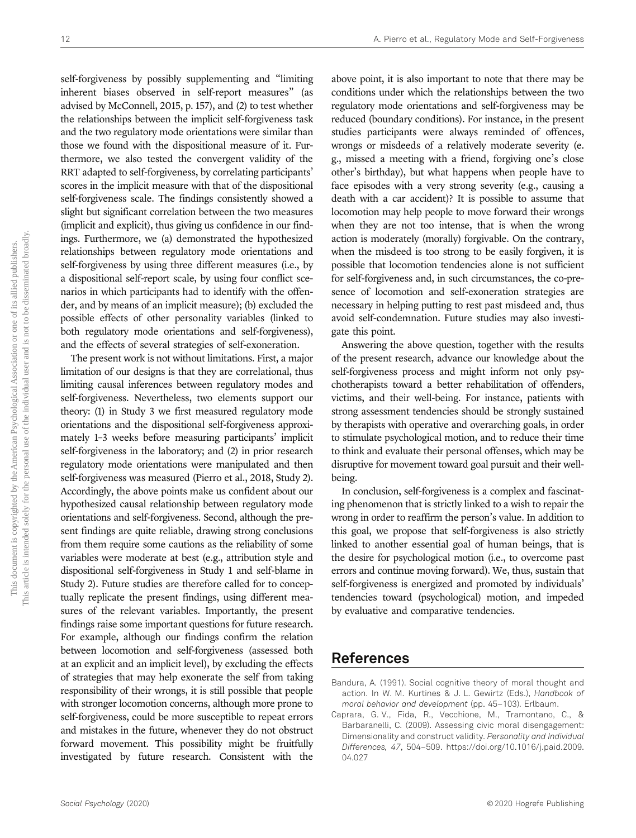self-forgiveness by possibly supplementing and "limiting inherent biases observed in self-report measures" (as advised by McConnell, 2015, p. 157), and (2) to test whether the relationships between the implicit self-forgiveness task and the two regulatory mode orientations were similar than those we found with the dispositional measure of it. Furthermore, we also tested the convergent validity of the RRT adapted to self-forgiveness, by correlating participants' scores in the implicit measure with that of the dispositional self-forgiveness scale. The findings consistently showed a slight but significant correlation between the two measures (implicit and explicit), thus giving us confidence in our findings. Furthermore, we (a) demonstrated the hypothesized relationships between regulatory mode orientations and self-forgiveness by using three different measures (i.e., by a dispositional self-report scale, by using four conflict scenarios in which participants had to identify with the offender, and by means of an implicit measure); (b) excluded the possible effects of other personality variables (linked to both regulatory mode orientations and self-forgiveness), and the effects of several strategies of self-exoneration.

The present work is not without limitations. First, a major limitation of our designs is that they are correlational, thus limiting causal inferences between regulatory modes and self-forgiveness. Nevertheless, two elements support our theory: (1) in Study 3 we first measured regulatory mode orientations and the dispositional self-forgiveness approximately 1–3 weeks before measuring participants' implicit self-forgiveness in the laboratory; and (2) in prior research regulatory mode orientations were manipulated and then self-forgiveness was measured (Pierro et al., 2018, Study 2). Accordingly, the above points make us confident about our hypothesized causal relationship between regulatory mode orientations and self-forgiveness. Second, although the present findings are quite reliable, drawing strong conclusions from them require some cautions as the reliability of some variables were moderate at best (e.g., attribution style and dispositional self-forgiveness in Study 1 and self-blame in Study 2). Future studies are therefore called for to conceptually replicate the present findings, using different measures of the relevant variables. Importantly, the present findings raise some important questions for future research. For example, although our findings confirm the relation between locomotion and self-forgiveness (assessed both at an explicit and an implicit level), by excluding the effects of strategies that may help exonerate the self from taking responsibility of their wrongs, it is still possible that people with stronger locomotion concerns, although more prone to self-forgiveness, could be more susceptible to repeat errors and mistakes in the future, whenever they do not obstruct forward movement. This possibility might be fruitfully investigated by future research. Consistent with the

above point, it is also important to note that there may be conditions under which the relationships between the two regulatory mode orientations and self-forgiveness may be reduced (boundary conditions). For instance, in the present studies participants were always reminded of offences, wrongs or misdeeds of a relatively moderate severity (e. g., missed a meeting with a friend, forgiving one's close other's birthday), but what happens when people have to face episodes with a very strong severity (e.g., causing a death with a car accident)? It is possible to assume that locomotion may help people to move forward their wrongs when they are not too intense, that is when the wrong action is moderately (morally) forgivable. On the contrary, when the misdeed is too strong to be easily forgiven, it is possible that locomotion tendencies alone is not sufficient for self-forgiveness and, in such circumstances, the co-presence of locomotion and self-exoneration strategies are necessary in helping putting to rest past misdeed and, thus avoid self-condemnation. Future studies may also investigate this point.

Answering the above question, together with the results of the present research, advance our knowledge about the self-forgiveness process and might inform not only psychotherapists toward a better rehabilitation of offenders, victims, and their well-being. For instance, patients with strong assessment tendencies should be strongly sustained by therapists with operative and overarching goals, in order to stimulate psychological motion, and to reduce their time to think and evaluate their personal offenses, which may be disruptive for movement toward goal pursuit and their wellbeing.

In conclusion, self-forgiveness is a complex and fascinating phenomenon that is strictly linked to a wish to repair the wrong in order to reaffirm the person's value. In addition to this goal, we propose that self-forgiveness is also strictly linked to another essential goal of human beings, that is the desire for psychological motion (i.e., to overcome past errors and continue moving forward). We, thus, sustain that self-forgiveness is energized and promoted by individuals' tendencies toward (psychological) motion, and impeded by evaluative and comparative tendencies.

## References

- Bandura, A. (1991). Social cognitive theory of moral thought and action. In W. M. Kurtines & J. L. Gewirtz (Eds.), Handbook of moral behavior and development (pp. 45–103). Erlbaum.
- Caprara, G. V., Fida, R., Vecchione, M., Tramontano, C., & Barbaranelli, C. (2009). Assessing civic moral disengagement: Dimensionality and construct validity. Personality and Individual Differences, 47, 504–509. https://doi.org/10.1016/j.paid.2009. 04.027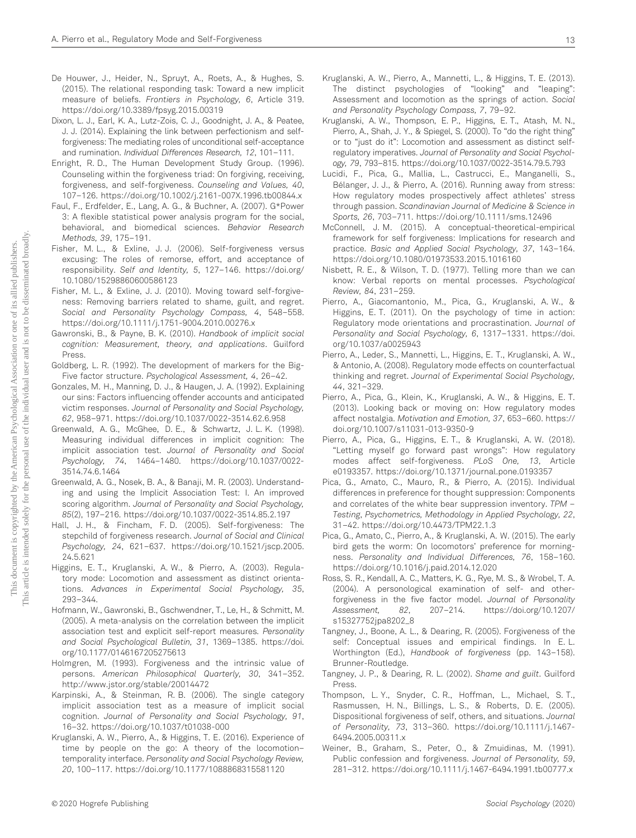- De Houwer, J., Heider, N., Spruyt, A., Roets, A., & Hughes, S. (2015). The relational responding task: Toward a new implicit measure of beliefs. Frontiers in Psychology, 6, Article 319. https://doi.org/10.3389/fpsyg.2015.00319
- Dixon, L. J., Earl, K. A., Lutz-Zois, C. J., Goodnight, J. A., & Peatee, J. J. (2014). Explaining the link between perfectionism and selfforgiveness: The mediating roles of unconditional self-acceptance and rumination. Individual Differences Research, 12, 101–111.
- Enright, R. D., The Human Development Study Group. (1996). Counseling within the forgiveness triad: On forgiving, receiving, forgiveness, and self-forgiveness. Counseling and Values, 40, 107–126. https://doi.org/10.1002/j.2161-007X.1996.tb00844.x
- Faul, F., Erdfelder, E., Lang, A. G., & Buchner, A. (2007). G\*Power 3: A flexible statistical power analysis program for the social, behavioral, and biomedical sciences. Behavior Research Methods, 39, 175–191.
- Fisher, M. L., & Exline, J. J. (2006). Self-forgiveness versus excusing: The roles of remorse, effort, and acceptance of responsibility. Self and Identity, 5, 127–146. https://doi.org/ 10.1080/15298860600586123
- Fisher, M. L., & Exline, J. J. (2010). Moving toward self-forgiveness: Removing barriers related to shame, guilt, and regret. Social and Personality Psychology Compass, 4, 548–558. https://doi.org/10.1111/j.1751-9004.2010.00276.x
- Gawronski, B., & Payne, B. K. (2010). Handbook of implicit social cognition: Measurement, theory, and applications. Guilford Press.
- Goldberg, L. R. (1992). The development of markers for the Big-Five factor structure. Psychological Assessment, 4, 26–42.
- Gonzales, M. H., Manning, D. J., & Haugen, J. A. (1992). Explaining our sins: Factors influencing offender accounts and anticipated victim responses. Journal of Personality and Social Psychology, 62, 958–971. https://doi.org/10.1037/0022-3514.62.6.958
- Greenwald, A. G., McGhee, D. E., & Schwartz, J. L. K. (1998). Measuring individual differences in implicit cognition: The implicit association test. Journal of Personality and Social Psychology, 74, 1464–1480. https://doi.org/10.1037/0022- 3514.74.6.1464
- Greenwald, A. G., Nosek, B. A., & Banaji, M. R. (2003). Understanding and using the Implicit Association Test: I. An improved scoring algorithm. Journal of Personality and Social Psychology, 85(2), 197–216. https://doi.org/10.1037/0022-3514.85.2.197
- Hall, J. H., & Fincham, F. D. (2005). Self-forgiveness: The stepchild of forgiveness research. Journal of Social and Clinical Psychology, 24, 621–637. https://doi.org/10.1521/jscp.2005. 24.5.621
- Higgins, E. T., Kruglanski, A. W., & Pierro, A. (2003). Regulatory mode: Locomotion and assessment as distinct orientations. Advances in Experimental Social Psychology, 35, 293–344.
- Hofmann, W., Gawronski, B., Gschwendner, T., Le, H., & Schmitt, M. (2005). A meta-analysis on the correlation between the implicit association test and explicit self-report measures. Personality and Social Psychological Bulletin, 31, 1369–1385. https://doi. org/10.1177/0146167205275613
- Holmgren, M. (1993). Forgiveness and the intrinsic value of persons. American Philosophical Quarterly, 30, 341–352. http://www.jstor.org/stable/20014472
- Karpinski, A., & Steinman, R. B. (2006). The single category implicit association test as a measure of implicit social cognition. Journal of Personality and Social Psychology, 91, 16–32. https://doi.org/10.1037/t01038-000
- Kruglanski, A. W., Pierro, A., & Higgins, T. E. (2016). Experience of time by people on the go: A theory of the locomotion– temporality interface. Personality and Social Psychology Review, 20, 100–117. https://doi.org/10.1177/1088868315581120
- Kruglanski, A. W., Pierro, A., Mannetti, L., & Higgins, T. E. (2013). The distinct psychologies of "looking" and "leaping": Assessment and locomotion as the springs of action. Social and Personality Psychology Compass, 7, 79–92.
- Kruglanski, A. W., Thompson, E. P., Higgins, E. T., Atash, M. N., Pierro, A., Shah, J. Y., & Spiegel, S. (2000). To "do the right thing" or to "just do it": Locomotion and assessment as distinct selfregulatory imperatives. Journal of Personality and Social Psychology, 79, 793–815. https://doi.org/10.1037/0022-3514.79.5.793
- Lucidi, F., Pica, G., Mallia, L., Castrucci, E., Manganelli, S., Bélanger, J. J., & Pierro, A. (2016). Running away from stress: How regulatory modes prospectively affect athletes' stress through passion. Scandinavian Journal of Medicine & Science in Sports, 26, 703–711. https://doi.org/10.1111/sms.12496
- McConnell, J. M. (2015). A conceptual-theoretical-empirical framework for self forgiveness: Implications for research and practice. Basic and Applied Social Psychology, 37, 143–164. https://doi.org/10.1080/01973533.2015.1016160
- Nisbett, R. E., & Wilson, T. D. (1977). Telling more than we can know: Verbal reports on mental processes. Psychological Review, 84, 231–259.
- Pierro, A., Giacomantonio, M., Pica, G., Kruglanski, A. W., & Higgins, E. T. (2011). On the psychology of time in action: Regulatory mode orientations and procrastination. Journal of Personality and Social Psychology, 6, 1317–1331. https://doi. org/10.1037/a0025943
- Pierro, A., Leder, S., Mannetti, L., Higgins, E. T., Kruglanski, A. W., & Antonio, A. (2008). Regulatory mode effects on counterfactual thinking and regret. Journal of Experimental Social Psychology, 44, 321–329.
- Pierro, A., Pica, G., Klein, K., Kruglanski, A. W., & Higgins, E. T. (2013). Looking back or moving on: How regulatory modes affect nostalgia. Motivation and Emotion, 37, 653–660. https:// doi.org/10.1007/s11031-013-9350-9
- Pierro, A., Pica, G., Higgins, E. T., & Kruglanski, A. W. (2018). "Letting myself go forward past wrongs": How regulatory modes affect self-forgiveness. PLoS One, 13, Article e0193357. https://doi.org/10.1371/journal.pone.0193357
- Pica, G., Amato, C., Mauro, R., & Pierro, A. (2015). Individual differences in preference for thought suppression: Components and correlates of the white bear suppression inventory. TPM – Testing, Psychometrics, Methodology in Applied Psychology, 22, 31–42. https://doi.org/10.4473/TPM22.1.3
- Pica, G., Amato, C., Pierro, A., & Kruglanski, A. W. (2015). The early bird gets the worm: On locomotors' preference for morningness. Personality and Individual Differences, 76, 158–160. https://doi.org/10.1016/j.paid.2014.12.020
- Ross, S. R., Kendall, A. C., Matters, K. G., Rye, M. S., & Wrobel, T. A. (2004). A personological examination of self- and otherforgiveness in the five factor model. Journal of Personality<br>Assessment, 82, 207-214. https://doi.org/10.1207/ 82, 207–214. https://doi.org/10.1207/ s15327752jpa8202\_8
- Tangney, J., Boone, A. L., & Dearing, R. (2005). Forgiveness of the self: Conceptual issues and empirical findings. In E. L. Worthington (Ed.), Handbook of forgiveness (pp. 143–158). Brunner-Routledge.
- Tangney, J. P., & Dearing, R. L. (2002). Shame and guilt. Guilford Press.
- Thompson, L. Y., Snyder, C. R., Hoffman, L., Michael, S. T., Rasmussen, H. N., Billings, L. S., & Roberts, D. E. (2005). Dispositional forgiveness of self, others, and situations. Journal of Personality, 73, 313–360. https://doi.org/10.1111/j.1467- 6494.2005.00311.x
- Weiner, B., Graham, S., Peter, O., & Zmuidinas, M. (1991). Public confession and forgiveness. Journal of Personality, 59, 281–312. https://doi.org/10.1111/j.1467-6494.1991.tb00777.x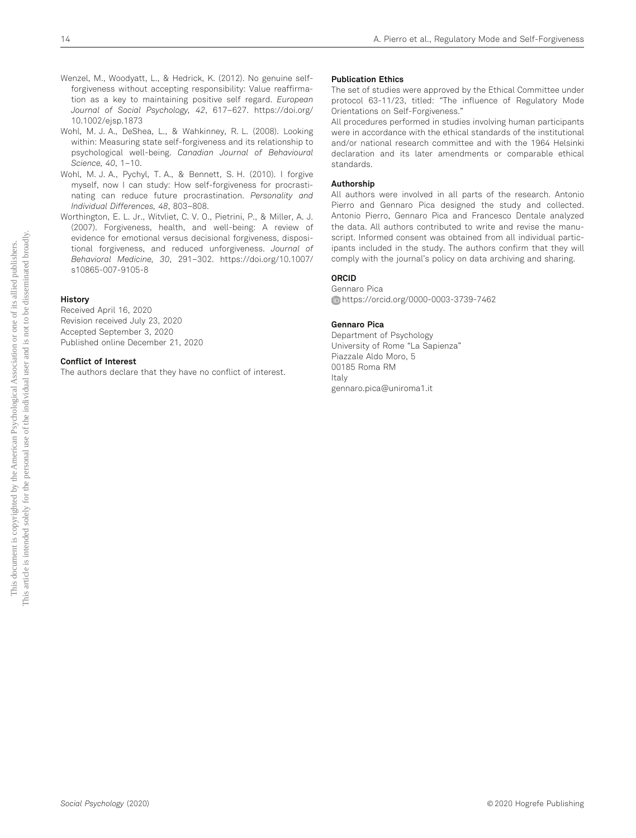- Wenzel, M., Woodyatt, L., & Hedrick, K. (2012). No genuine selfforgiveness without accepting responsibility: Value reaffirmation as a key to maintaining positive self regard. European Journal of Social Psychology, 42, 617–627. https://doi.org/ 10.1002/ejsp.1873
- Wohl, M. J. A., DeShea, L., & Wahkinney, R. L. (2008). Looking within: Measuring state self-forgiveness and its relationship to psychological well-being. Canadian Journal of Behavioural Science, 40, 1–10.
- Wohl, M. J. A., Pychyl, T. A., & Bennett, S. H. (2010). I forgive myself, now I can study: How self-forgiveness for procrastinating can reduce future procrastination. Personality and Individual Differences, 48, 803–808.
- Worthington, E. L. Jr., Witvliet, C. V. O., Pietrini, P., & Miller, A. J. (2007). Forgiveness, health, and well-being: A review of evidence for emotional versus decisional forgiveness, dispositional forgiveness, and reduced unforgiveness. Journal of Behavioral Medicine, 30, 291–302. https://doi.org/10.1007/ s10865-007-9105-8

## History

Received April 16, 2020 Revision received July 23, 2020 Accepted September 3, 2020 Published online December 21, 2020

#### Conflict of Interest

The authors declare that they have no conflict of interest.

## Publication Ethics

The set of studies were approved by the Ethical Committee under protocol 63-11/23, titled: "The influence of Regulatory Mode Orientations on Self-Forgiveness."

All procedures performed in studies involving human participants were in accordance with the ethical standards of the institutional and/or national research committee and with the 1964 Helsinki declaration and its later amendments or comparable ethical standards.

#### Authorship

All authors were involved in all parts of the research. Antonio Pierro and Gennaro Pica designed the study and collected. Antonio Pierro, Gennaro Pica and Francesco Dentale analyzed the data. All authors contributed to write and revise the manuscript. Informed consent was obtained from all individual participants included in the study. The authors confirm that they will comply with the journal's policy on data archiving and sharing.

#### ORCID

Gennaro Pica https://orcid.org/0000-0003-3739-7462

#### Gennaro Pica

Department of Psychology University of Rome "La Sapienza" Piazzale Aldo Moro, 5 00185 Roma RM Italy gennaro.pica@uniroma1.it